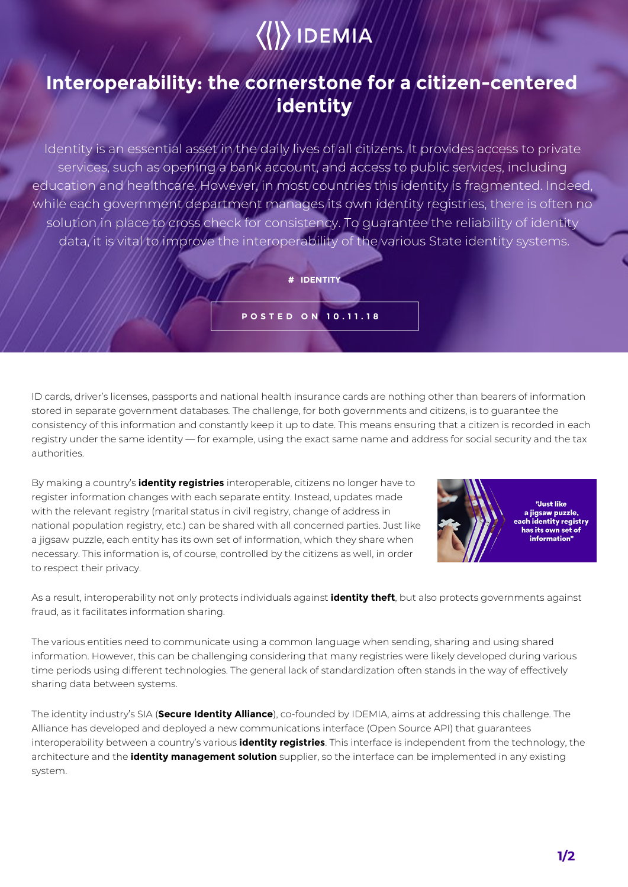## $\langle\langle\rangle\rangle$  IDEMIA

## **Interoperability: the cornerstone for a citizen-centered identity**

Identity is an essential asset in the daily lives of all citizens. It provides access to private services, such as opening a bank account, and access to public services, including education and healthcare. However, in most countries this identity is fragmented. Indeed, while each government department manages its own identity registries, there is often no solution in place to cross check for consistency. To guarantee the reliability of identity data, it is vital to improve the interoperability of the various State identity systems.



ID cards, driver's licenses, passports and national health insurance cards are nothing other than bearers of information stored in separate government databases. The challenge, for both governments and citizens, is to guarantee the consistency of this information and constantly keep it up to date. This means ensuring that a citizen is recorded in each registry under the same identity — for example, using the exact same name and address for social security and the tax authorities.

By making a country's **identity registries** interoperable, citizens no longer have to register information changes with each separate entity. Instead, updates made with the relevant registry (marital status in civil registry, change of address in national population registry, etc.) can be shared with all concerned parties. Just like a jigsaw puzzle, each entity has its own set of information, which they share when necessary. This information is, of course, controlled by the citizens as well, in order to respect their privacy.



As a result, interoperability not only protects individuals against **identity theft**, but also protects governments against fraud, as it facilitates information sharing.

The various entities need to communicate using a common language when sending, sharing and using shared information. However, this can be challenging considering that many registries were likely developed during various time periods using different technologies. The general lack of standardization often stands in the way of effectively sharing data between systems.

The identity industry's SIA (**Secure Identity Alliance**), co-founded by IDEMIA, aims at addressing this challenge. The Alliance has developed and deployed a new communications interface (Open Source API) that guarantees interoperability between a country's various **identity registries**. This interface is independent from the technology, the architecture and the **identity management solution** supplier, so the interface can be implemented in any existing system.